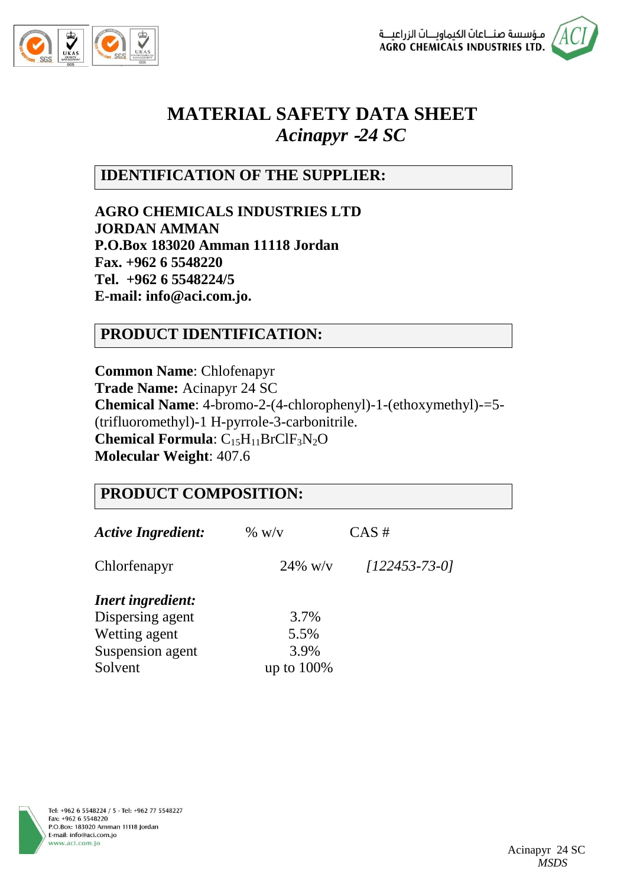



# **MATERIAL SAFETY DATA SHEET** *Acinapyr* **-***24 SC*

# **IDENTIFICATION OF THE SUPPLIER:**

**AGRO CHEMICALS INDUSTRIES LTD JORDAN AMMAN P.O.Box 183020 Amman 11118 Jordan Fax. +962 6 5548220 Tel. +962 6 5548224/5 E-mail: info@aci.com.jo.**

# **PRODUCT IDENTIFICATION:**

**Common Name**: Chlofenapyr **Trade Name:** Acinapyr 24 SC **Chemical Name**: 4-bromo-2-(4-chlorophenyl)-1-(ethoxymethyl)-=5- (trifluoromethyl)-1 H-pyrrole-3-carbonitrile. **Chemical Formula**: C<sub>15</sub>H<sub>11</sub>BrClF<sub>3</sub>N<sub>2</sub>O **Molecular Weight**: 407.6

| <b>PRODUCT COMPOSITION:</b> |               |                 |
|-----------------------------|---------------|-----------------|
| <b>Active Ingredient:</b>   | $\%$ w/v      | CAS#            |
| Chlorfenapyr                | $24\%$ w/v    | $[122453-73-0]$ |
| <b>Inert ingredient:</b>    |               |                 |
| Dispersing agent            | 3.7%          |                 |
| Wetting agent               | 5.5%          |                 |
| Suspension agent            | 3.9%          |                 |
| Solvent                     | up to $100\%$ |                 |

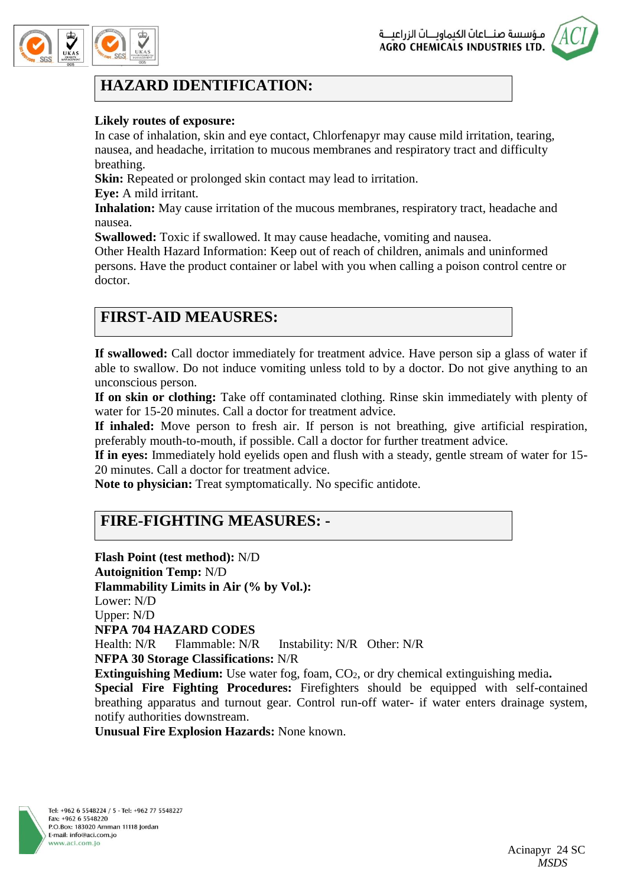



# **HAZARD IDENTIFICATION:**

#### **Likely routes of exposure:**

In case of inhalation, skin and eye contact, Chlorfenapyr may cause mild irritation, tearing, nausea, and headache, irritation to mucous membranes and respiratory tract and difficulty breathing.

**Skin:** Repeated or prolonged skin contact may lead to irritation.

**Eye:** A mild irritant.

**Inhalation:** May cause irritation of the mucous membranes, respiratory tract, headache and nausea.

**Swallowed:** Toxic if swallowed. It may cause headache, vomiting and nausea.

Other Health Hazard Information: Keep out of reach of children, animals and uninformed persons. Have the product container or label with you when calling a poison control centre or doctor.

# **FIRST-AID MEAUSRES:**

**If swallowed:** Call doctor immediately for treatment advice. Have person sip a glass of water if able to swallow. Do not induce vomiting unless told to by a doctor. Do not give anything to an unconscious person.

**If on skin or clothing:** Take off contaminated clothing. Rinse skin immediately with plenty of water for 15-20 minutes. Call a doctor for treatment advice.

**If inhaled:** Move person to fresh air. If person is not breathing, give artificial respiration, preferably mouth-to-mouth, if possible. Call a doctor for further treatment advice.

**If in eyes:** Immediately hold eyelids open and flush with a steady, gentle stream of water for 15- 20 minutes. Call a doctor for treatment advice.

**Note to physician:** Treat symptomatically. No specific antidote.

### **FIRE-FIGHTING MEASURES: -**

**Flash Point (test method):** N/D **Autoignition Temp:** N/D **Flammability Limits in Air (% by Vol.):** Lower: N/D Upper: N/D **NFPA 704 HAZARD CODES** Health: N/R Flammable: N/R Instability: N/R Other: N/R **NFPA 30 Storage Classifications:** N/R **Extinguishing Medium:** Use water fog, foam, CO<sub>2</sub>, or dry chemical extinguishing media. **Special Fire Fighting Procedures:** Firefighters should be equipped with self-contained breathing apparatus and turnout gear. Control run-off water- if water enters drainage system, notify authorities downstream.

**Unusual Fire Explosion Hazards:** None known.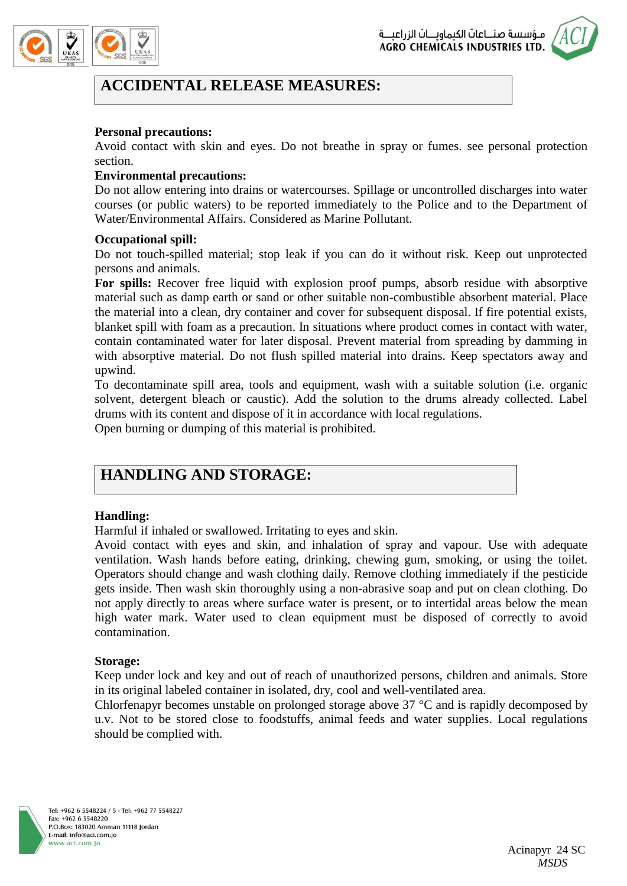



### **ACCIDENTAL RELEASE MEASURES:**

#### **Personal precautions:**

Avoid contact with skin and eyes. Do not breathe in spray or fumes. see personal protection section.

#### **Environmental precautions:**

Do not allow entering into drains or watercourses. Spillage or uncontrolled discharges into water courses (or public waters) to be reported immediately to the Police and to the Department of Water/Environmental Affairs. Considered as Marine Pollutant.

#### **Occupational spill:**

Do not touch-spilled material; stop leak if you can do it without risk. Keep out unprotected persons and animals.

**For spills:** Recover free liquid with explosion proof pumps, absorb residue with absorptive material such as damp earth or sand or other suitable non-combustible absorbent material. Place the material into a clean, dry container and cover for subsequent disposal. If fire potential exists, blanket spill with foam as a precaution. In situations where product comes in contact with water, contain contaminated water for later disposal. Prevent material from spreading by damming in with absorptive material. Do not flush spilled material into drains. Keep spectators away and upwind.

To decontaminate spill area, tools and equipment, wash with a suitable solution (i.e. organic solvent, detergent bleach or caustic). Add the solution to the drums already collected. Label drums with its content and dispose of it in accordance with local regulations.

Open burning or dumping of this material is prohibited.

# **HANDLING AND STORAGE:**

### **Handling:**

Harmful if inhaled or swallowed. Irritating to eyes and skin.

Avoid contact with eyes and skin, and inhalation of spray and vapour. Use with adequate ventilation. Wash hands before eating, drinking, chewing gum, smoking, or using the toilet. Operators should change and wash clothing daily. Remove clothing immediately if the pesticide gets inside. Then wash skin thoroughly using a non-abrasive soap and put on clean clothing. Do not apply directly to areas where surface water is present, or to intertidal areas below the mean high water mark. Water used to clean equipment must be disposed of correctly to avoid contamination.

#### **Storage:**

Keep under lock and key and out of reach of unauthorized persons, children and animals. Store in its original labeled container in isolated, dry, cool and well-ventilated area.

Chlorfenapyr becomes unstable on prolonged storage above 37 °C and is rapidly decomposed by u.v. Not to be stored close to foodstuffs, animal feeds and water supplies. Local regulations should be complied with.

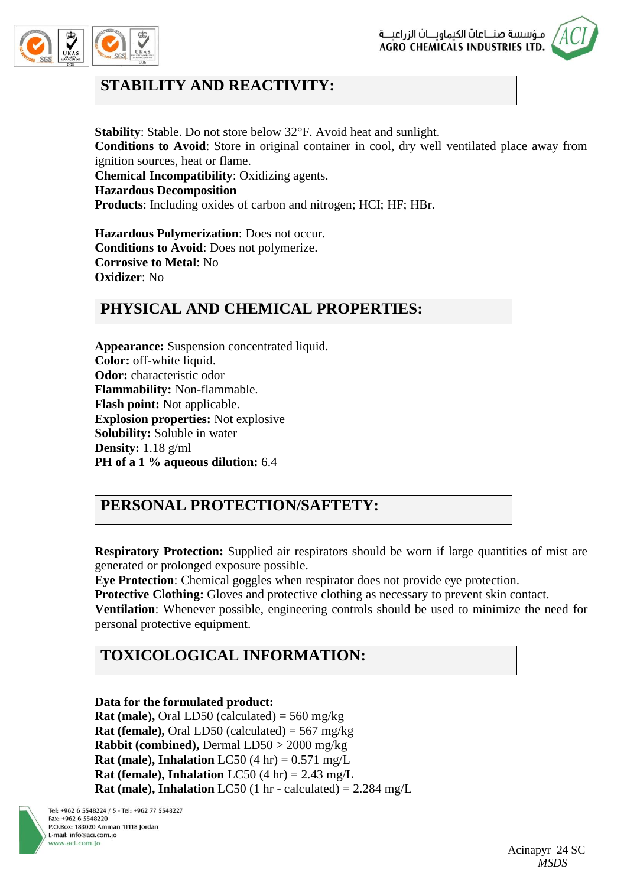



# **STABILITY AND REACTIVITY:**

**Stability**: Stable. Do not store below 32°F. Avoid heat and sunlight. **Conditions to Avoid**: Store in original container in cool, dry well ventilated place away from ignition sources, heat or flame. **Chemical Incompatibility**: Oxidizing agents. **Hazardous Decomposition Products**: Including oxides of carbon and nitrogen; HCI; HF; HBr.

**Hazardous Polymerization**: Does not occur. **Conditions to Avoid**: Does not polymerize. **Corrosive to Metal**: No **Oxidizer**: No

### **PHYSICAL AND CHEMICAL PROPERTIES:**

**Appearance:** Suspension concentrated liquid. **Color:** off-white liquid. **Odor:** characteristic odor **Flammability:** Non-flammable. **Flash point:** Not applicable. **Explosion properties:** Not explosive **Solubility:** Soluble in water **Density:** 1.18 g/ml **PH of a 1 % aqueous dilution:** 6.4

# **PERSONAL PROTECTION/SAFTETY:**

**Respiratory Protection:** Supplied air respirators should be worn if large quantities of mist are generated or prolonged exposure possible.

**Eye Protection**: Chemical goggles when respirator does not provide eye protection.

**Protective Clothing:** Gloves and protective clothing as necessary to prevent skin contact.

**Ventilation**: Whenever possible, engineering controls should be used to minimize the need for personal protective equipment.

# **TOXICOLOGICAL INFORMATION:**

### **Data for the formulated product:**

**Rat (male),** Oral LD50 (calculated) = 560 mg/kg **Rat (female),** Oral LD50 (calculated) = 567 mg/kg **Rabbit (combined),** Dermal LD50 > 2000 mg/kg **Rat (male), Inhalation** LC50 (4 hr)  $= 0.571$  mg/L **Rat (female), Inhalation** LC50 (4 hr)  $= 2.43$  mg/L **Rat (male), Inhalation** LC50 (1 hr - calculated)  $= 2.284$  mg/L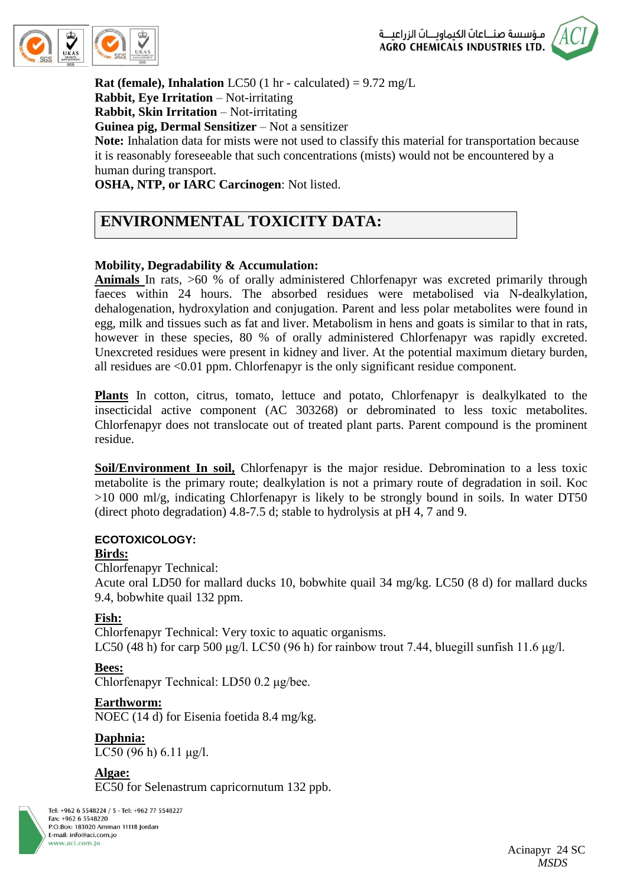



**Rat (female), Inhalation** LC50 (1 hr - calculated) =  $9.72 \text{ mg/L}$ **Rabbit, Eye Irritation** – Not-irritating **Rabbit, Skin Irritation** – Not-irritating **Guinea pig, Dermal Sensitizer** – Not a sensitizer **Note:** Inhalation data for mists were not used to classify this material for transportation because it is reasonably foreseeable that such concentrations (mists) would not be encountered by a human during transport.

**OSHA, NTP, or IARC Carcinogen**: Not listed.

# **ENVIRONMENTAL TOXICITY DATA:**

### **Mobility, Degradability & Accumulation:**

**Animals** In rats, >60 % of orally administered Chlorfenapyr was excreted primarily through faeces within 24 hours. The absorbed residues were metabolised via N-dealkylation, dehalogenation, hydroxylation and conjugation. Parent and less polar metabolites were found in egg, milk and tissues such as fat and liver. Metabolism in hens and goats is similar to that in rats, however in these species, 80 % of orally administered Chlorfenapyr was rapidly excreted. Unexcreted residues were present in kidney and liver. At the potential maximum dietary burden, all residues are <0.01 ppm. Chlorfenapyr is the only significant residue component.

**Plants** In cotton, citrus, tomato, lettuce and potato, Chlorfenapyr is dealkylkated to the insecticidal active component (AC 303268) or debrominated to less toxic metabolites. Chlorfenapyr does not translocate out of treated plant parts. Parent compound is the prominent residue.

**Soil/Environment In soil,** Chlorfenapyr is the major residue. Debromination to a less toxic metabolite is the primary route; dealkylation is not a primary route of degradation in soil. Koc >10 000 ml/g, indicating Chlorfenapyr is likely to be strongly bound in soils. In water DT50 (direct photo degradation) 4.8-7.5 d; stable to hydrolysis at pH 4, 7 and 9.

#### **ECOTOXICOLOGY:**

#### **Birds:**

Chlorfenapyr Technical:

Acute oral LD50 for mallard ducks 10, bobwhite quail 34 mg/kg. LC50 (8 d) for mallard ducks 9.4, bobwhite quail 132 ppm.

#### **Fish:**

Chlorfenapyr Technical: Very toxic to aquatic organisms. LC50 (48 h) for carp 500 μg/l. LC50 (96 h) for rainbow trout 7.44, bluegill sunfish 11.6 μg/l.

#### **Bees:**

Chlorfenapyr Technical: LD50 0.2 μg/bee.

#### **Earthworm:**

NOEC (14 d) for Eisenia foetida 8.4 mg/kg.

**Daphnia:** LC50 (96 h) 6.11 μg/l.

**Algae:** EC50 for Selenastrum capricornutum 132 ppb.

Tel: +962 6 5548224 / 5 - Tel: +962 77 5548227 Fax: +962 6 5548220 P.O.Box: 183020 Amman 11118 Jordan E-mail: info@aci.com.jo www.aci.com.io